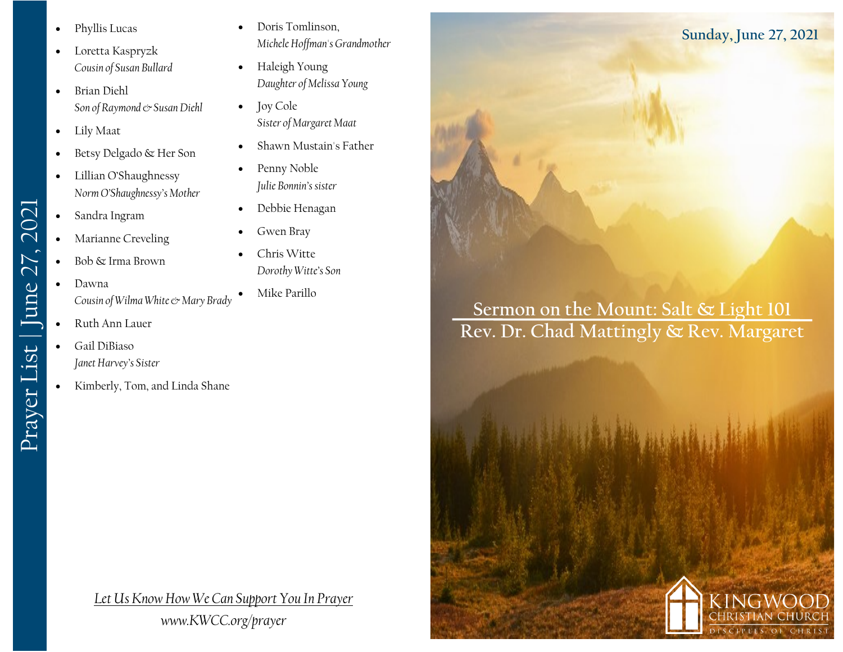- Phyllis Lucas
- Loretta Kaspryzk *Cousin of Susan Bullard*
- Brian Diehl *Son of Raymond & Susan Diehl*
- Lily Maat
- Betsy Delgado & Her Son
- Lillian O'Shaughnessy *Norm O'Shaughnessy's Mother*
- Sandra Ingram
- Marianne Creveling
- Bob & Irma Brown
- Dawna *Cousin of Wilma White & Mary Brady*
- Ruth Ann Lauer

Prayer List | June 27, 2021

Prayer List | June 27, 2021

- Gail DiBiaso *Janet Harvey's Sister*
- Kimberly, Tom, and Linda Shane
- Doris Tomlinson, *Michele Hoffman's Grandmother*
- Haleigh Young *Daughter of Melissa Young*
- Joy Cole *Sister of Margaret Maat*
- Shawn Mustain's Father
- Penny Noble *Julie Bonnin's sister*
- Debbie Henagan
- Gwen Bray
- Chris Witte *Dorothy Witte's Son*
	- Mike Parillo

*Let Us Know How We Can Support You In Prayer www.KWCC.org/prayer*

**Sermon on the Mount: Salt & Light 101 Rev. Dr. Chad Mattingly & Rev. Margaret** 



**Sunday, June 27, 2021**